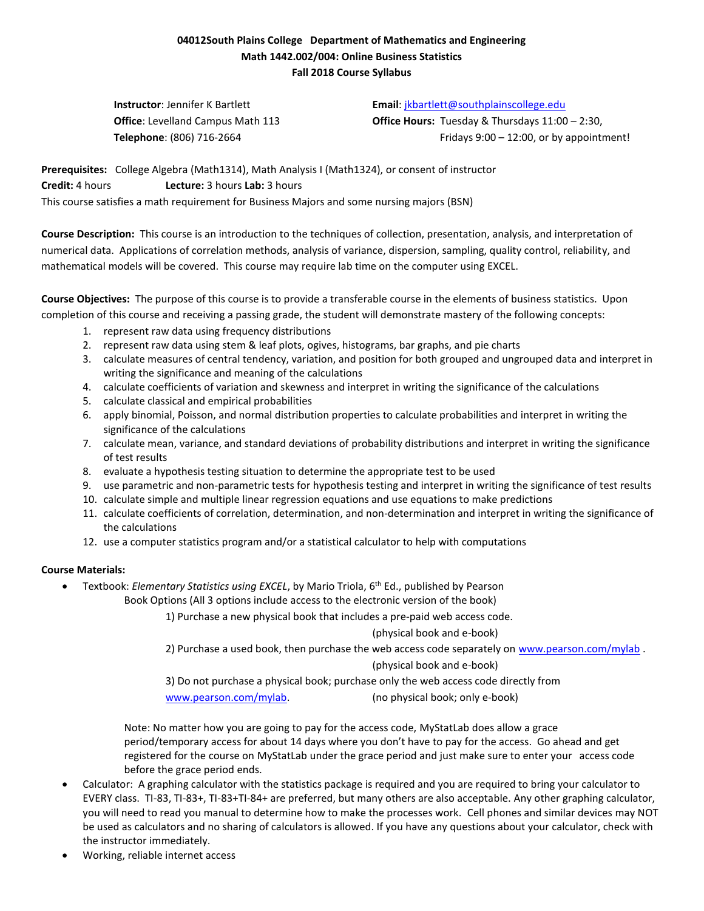# **04012South Plains College Department of Mathematics and Engineering Math 1442.002/004: Online Business Statistics Fall 2018 Course Syllabus**

**Instructor**: Jennifer K Bartlett **Email**: [jkbartlett@southplainscollege.edu](mailto:jkbartlett@southplainscollege.edu)

**Office**: Levelland Campus Math 113 **Office Hours:** Tuesday & Thursdays 11:00 – 2:30, **Telephone**: (806) 716-2664 **Fridays 9:00 – 12:00, or by appointment!** 

**Prerequisites:** College Algebra (Math1314), Math Analysis I (Math1324), or consent of instructor **Credit:** 4 hours **Lecture:** 3 hours **Lab:** 3 hours This course satisfies a math requirement for Business Majors and some nursing majors (BSN)

**Course Description:** This course is an introduction to the techniques of collection, presentation, analysis, and interpretation of numerical data. Applications of correlation methods, analysis of variance, dispersion, sampling, quality control, reliability, and mathematical models will be covered. This course may require lab time on the computer using EXCEL.

**Course Objectives:** The purpose of this course is to provide a transferable course in the elements of business statistics. Upon completion of this course and receiving a passing grade, the student will demonstrate mastery of the following concepts:

- 1. represent raw data using frequency distributions
- 2. represent raw data using stem & leaf plots, ogives, histograms, bar graphs, and pie charts
- 3. calculate measures of central tendency, variation, and position for both grouped and ungrouped data and interpret in writing the significance and meaning of the calculations
- 4. calculate coefficients of variation and skewness and interpret in writing the significance of the calculations
- 5. calculate classical and empirical probabilities
- 6. apply binomial, Poisson, and normal distribution properties to calculate probabilities and interpret in writing the significance of the calculations
- 7. calculate mean, variance, and standard deviations of probability distributions and interpret in writing the significance of test results
- 8. evaluate a hypothesis testing situation to determine the appropriate test to be used
- 9. use parametric and non-parametric tests for hypothesis testing and interpret in writing the significance of test results
- 10. calculate simple and multiple linear regression equations and use equations to make predictions
- 11. calculate coefficients of correlation, determination, and non-determination and interpret in writing the significance of the calculations
- 12. use a computer statistics program and/or a statistical calculator to help with computations

## **Course Materials:**

• Textbook: *Elementary Statistics using EXCEL*, by Mario Triola, 6<sup>th</sup> Ed., published by Pearson

Book Options (All 3 options include access to the electronic version of the book)

1) Purchase a new physical book that includes a pre-paid web access code.

(physical book and e-book)

2) Purchase a used book, then purchase the web access code separately on [www.pearson.com/mylab](http://www.pearson.com/mylab) . (physical book and e-book)

3) Do not purchase a physical book; purchase only the web access code directly from

[www.pearson.com/mylab.](http://www.pearson.com/mylab) (no physical book; only e-book)

Note: No matter how you are going to pay for the access code, MyStatLab does allow a grace period/temporary access for about 14 days where you don't have to pay for the access. Go ahead and get registered for the course on MyStatLab under the grace period and just make sure to enter your access code before the grace period ends.

- Calculator: A graphing calculator with the statistics package is required and you are required to bring your calculator to EVERY class. TI-83, TI-83+, TI-83+TI-84+ are preferred, but many others are also acceptable. Any other graphing calculator, you will need to read you manual to determine how to make the processes work. Cell phones and similar devices may NOT be used as calculators and no sharing of calculators is allowed. If you have any questions about your calculator, check with the instructor immediately.
- Working, reliable internet access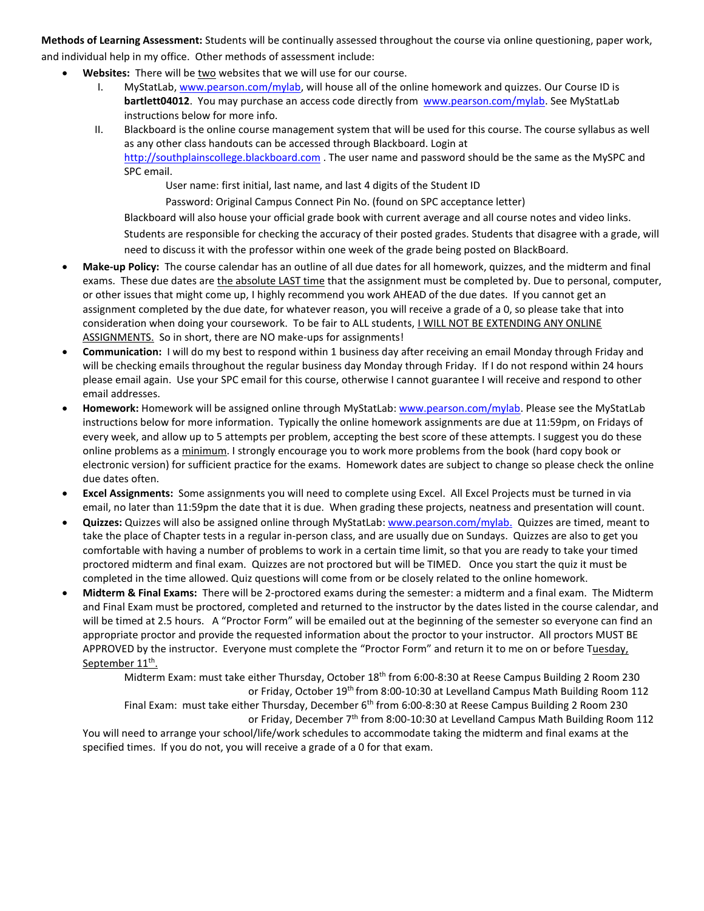**Methods of Learning Assessment:** Students will be continually assessed throughout the course via online questioning, paper work, and individual help in my office. Other methods of assessment include:

- **Websites:** There will be two websites that we will use for our course.
	- I. MyStatLab, [www.pearson.com/mylab,](http://www.pearson.com/mylab) will house all of the online homework and quizzes. Our Course ID is **bartlett04012**.You may purchase an access code directly from [www.pearson.com/mylab.](http://www.pearson.com/mylab) See MyStatLab instructions below for more info.
	- II. Blackboard is the online course management system that will be used for this course. The course syllabus as well as any other class handouts can be accessed through Blackboard. Login at [http://southplainscollege.blackboard.com](http://southplainscollege.blackboard.com/) . The user name and password should be the same as the MySPC and SPC email.

User name: first initial, last name, and last 4 digits of the Student ID

Password: Original Campus Connect Pin No. (found on SPC acceptance letter)

Blackboard will also house your official grade book with current average and all course notes and video links.

Students are responsible for checking the accuracy of their posted grades. Students that disagree with a grade, will need to discuss it with the professor within one week of the grade being posted on BlackBoard.

- **Make-up Policy:** The course calendar has an outline of all due dates for all homework, quizzes, and the midterm and final exams. These due dates are the absolute LAST time that the assignment must be completed by. Due to personal, computer, or other issues that might come up, I highly recommend you work AHEAD of the due dates. If you cannot get an assignment completed by the due date, for whatever reason, you will receive a grade of a 0, so please take that into consideration when doing your coursework. To be fair to ALL students, **I WILL NOT BE EXTENDING ANY ONLINE** ASSIGNMENTS. So in short, there are NO make-ups for assignments!
- **Communication:** I will do my best to respond within 1 business day after receiving an email Monday through Friday and will be checking emails throughout the regular business day Monday through Friday. If I do not respond within 24 hours please email again. Use your SPC email for this course, otherwise I cannot guarantee I will receive and respond to other email addresses.
- **Homework:** Homework will be assigned online through MyStatLab: [www.pearson.com/mylab.](http://www.pearson.com/mylab) Please see the MyStatLab instructions below for more information. Typically the online homework assignments are due at 11:59pm, on Fridays of every week, and allow up to 5 attempts per problem, accepting the best score of these attempts. I suggest you do these online problems as a minimum. I strongly encourage you to work more problems from the book (hard copy book or electronic version) for sufficient practice for the exams. Homework dates are subject to change so please check the online due dates often.
- **Excel Assignments:** Some assignments you will need to complete using Excel. All Excel Projects must be turned in via email, no later than 11:59pm the date that it is due. When grading these projects, neatness and presentation will count.
- **Quizzes:** Quizzes will also be assigned online through MyStatLab[: www.pearson.com/mylab.](http://www.pearson.com/mylab) Quizzes are timed, meant to take the place of Chapter tests in a regular in-person class, and are usually due on Sundays. Quizzes are also to get you comfortable with having a number of problems to work in a certain time limit, so that you are ready to take your timed proctored midterm and final exam. Quizzes are not proctored but will be TIMED. Once you start the quiz it must be completed in the time allowed. Quiz questions will come from or be closely related to the online homework.
- **Midterm & Final Exams:** There will be 2-proctored exams during the semester: a midterm and a final exam. The Midterm and Final Exam must be proctored, completed and returned to the instructor by the dates listed in the course calendar, and will be timed at 2.5 hours. A "Proctor Form" will be emailed out at the beginning of the semester so everyone can find an appropriate proctor and provide the requested information about the proctor to your instructor. All proctors MUST BE APPROVED by the instructor. Everyone must complete the "Proctor Form" and return it to me on or before Tuesday, September 11<sup>th</sup>.

Midterm Exam: must take either Thursday, October 18<sup>th</sup> from 6:00-8:30 at Reese Campus Building 2 Room 230 or Friday, October 19<sup>th</sup> from 8:00-10:30 at Levelland Campus Math Building Room 112 Final Exam: must take either Thursday, December 6<sup>th</sup> from 6:00-8:30 at Reese Campus Building 2 Room 230 or Friday, December 7th from 8:00-10:30 at Levelland Campus Math Building Room 112

You will need to arrange your school/life/work schedules to accommodate taking the midterm and final exams at the specified times. If you do not, you will receive a grade of a 0 for that exam.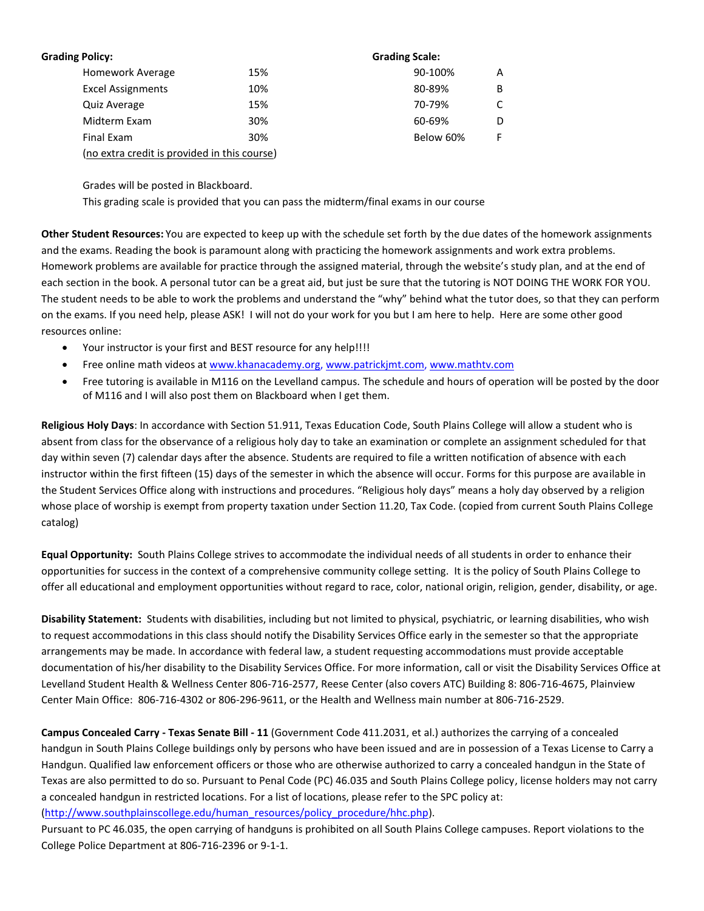| <b>Grading Policy:</b>                       |     | <b>Grading Scale:</b> |   |
|----------------------------------------------|-----|-----------------------|---|
| Homework Average                             | 15% | 90-100%               | А |
| <b>Excel Assignments</b>                     | 10% | 80-89%                | В |
| <b>Quiz Average</b>                          | 15% | 70-79%                |   |
| Midterm Exam                                 | 30% | 60-69%                |   |
| Final Exam                                   | 30% | Below 60%             | F |
| (no extra credit is provided in this course) |     |                       |   |

Grades will be posted in Blackboard.

This grading scale is provided that you can pass the midterm/final exams in our course

**Other Student Resources:** You are expected to keep up with the schedule set forth by the due dates of the homework assignments and the exams. Reading the book is paramount along with practicing the homework assignments and work extra problems. Homework problems are available for practice through the assigned material, through the website's study plan, and at the end of each section in the book. A personal tutor can be a great aid, but just be sure that the tutoring is NOT DOING THE WORK FOR YOU. The student needs to be able to work the problems and understand the "why" behind what the tutor does, so that they can perform on the exams. If you need help, please ASK! I will not do your work for you but I am here to help. Here are some other good resources online:

- Your instructor is your first and BEST resource for any help!!!!
- Free online math videos a[t www.khanacademy.org,](http://www.khanacademy.org/) [www.patrickjmt.com,](http://www.patrickjmt.com/) [www.mathtv.com](http://www.mathtv.com/)
- Free tutoring is available in M116 on the Levelland campus. The schedule and hours of operation will be posted by the door of M116 and I will also post them on Blackboard when I get them.

**Religious Holy Days**: In accordance with Section 51.911, Texas Education Code, South Plains College will allow a student who is absent from class for the observance of a religious holy day to take an examination or complete an assignment scheduled for that day within seven (7) calendar days after the absence. Students are required to file a written notification of absence with each instructor within the first fifteen (15) days of the semester in which the absence will occur. Forms for this purpose are available in the Student Services Office along with instructions and procedures. "Religious holy days" means a holy day observed by a religion whose place of worship is exempt from property taxation under Section 11.20, Tax Code. (copied from current South Plains College catalog)

**Equal Opportunity:** South Plains College strives to accommodate the individual needs of all students in order to enhance their opportunities for success in the context of a comprehensive community college setting. It is the policy of South Plains College to offer all educational and employment opportunities without regard to race, color, national origin, religion, gender, disability, or age.

**Disability Statement:** Students with disabilities, including but not limited to physical, psychiatric, or learning disabilities, who wish to request accommodations in this class should notify the Disability Services Office early in the semester so that the appropriate arrangements may be made. In accordance with federal law, a student requesting accommodations must provide acceptable documentation of his/her disability to the Disability Services Office. For more information, call or visit the Disability Services Office at Levelland Student Health & Wellness Center 806-716-2577, Reese Center (also covers ATC) Building 8: 806-716-4675, Plainview Center Main Office: 806-716-4302 or 806-296-9611, or the Health and Wellness main number at 806-716-2529.

**Campus Concealed Carry - Texas Senate Bill - 11** (Government Code 411.2031, et al.) authorizes the carrying of a concealed handgun in South Plains College buildings only by persons who have been issued and are in possession of a Texas License to Carry a Handgun. Qualified law enforcement officers or those who are otherwise authorized to carry a concealed handgun in the State of Texas are also permitted to do so. Pursuant to Penal Code (PC) 46.035 and South Plains College policy, license holders may not carry a concealed handgun in restricted locations. For a list of locations, please refer to the SPC policy at:

[\(http://www.southplainscollege.edu/human\\_resources/policy\\_procedure/hhc.php\)](http://www.southplainscollege.edu/human_resources/policy_procedure/hhc.php).

Pursuant to PC 46.035, the open carrying of handguns is prohibited on all South Plains College campuses. Report violations to the College Police Department at 806-716-2396 or 9-1-1.